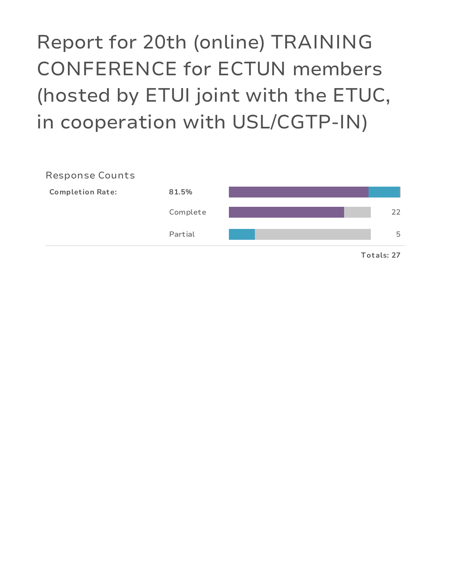Report for 20th (online) TRAINING CONFERENCE for ECTUN members (hosted by ETUI joint with the ETUC, in cooperation with USL/CGTP-IN)

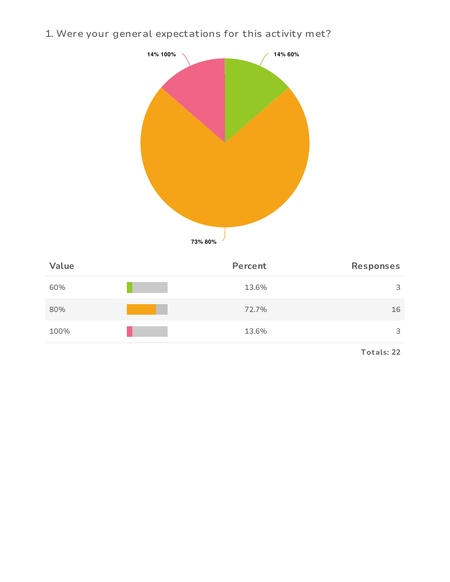1. Were your general expectations for this activity met?



| Value | Percent | Responses |
|-------|---------|-----------|
| 60%   | 13.6%   | 3         |
| 80%   | 72.7%   | 16        |
| 100%  | 13.6%   | 3         |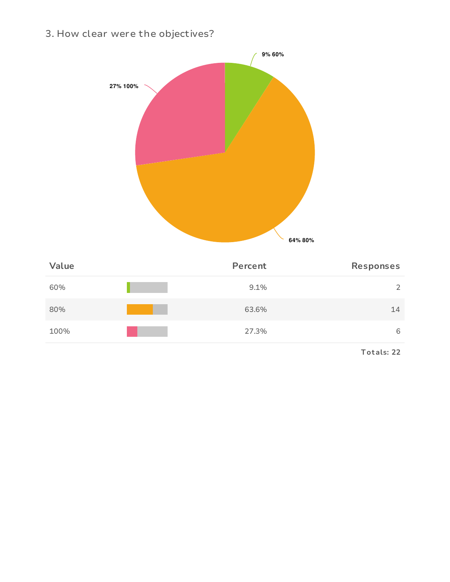3. How clear were the objectives?



| 60%  | 9.1%  | ⌒  |
|------|-------|----|
| 80%  | 63.6% | 14 |
| 100% | 27.3% | 6  |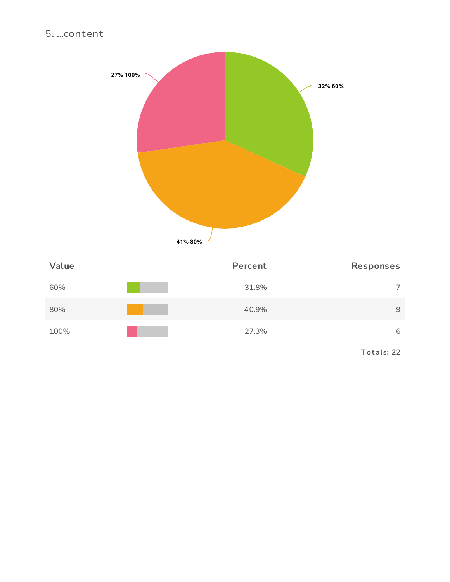### 5. ... content



| Value | Percent | <b>Responses</b> |
|-------|---------|------------------|
| 60%   | 31.8%   | $\overline{7}$   |
| 80%   | 40.9%   | 9                |
| 100%  | 27.3%   | 6                |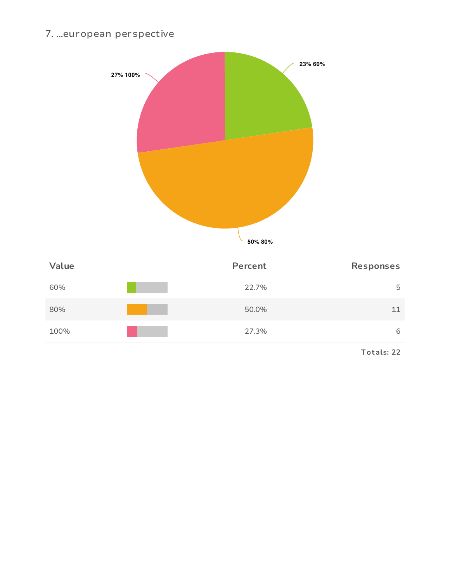### 7. ...european perspective



| 60%  | 22.7% | 5  |
|------|-------|----|
| 80%  | 50.0% | 11 |
| 100% | 27.3% | 6  |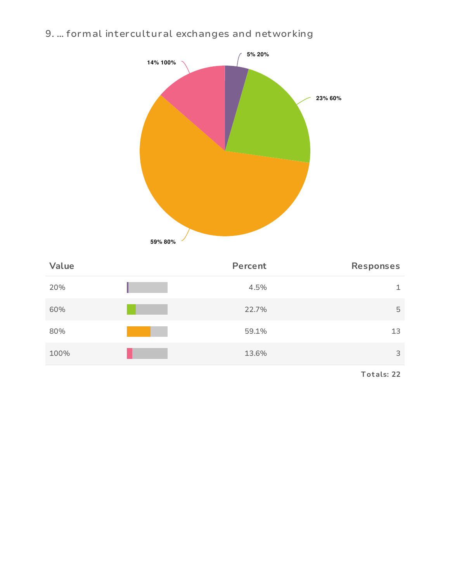# 9. ... formal intercultural exchanges and networking



| Value | Percent | Responses |
|-------|---------|-----------|
| 20%   | 4.5%    | 1         |
| 60%   | 22.7%   | 5         |
| 80%   | 59.1%   | 13        |
| 100%  | 13.6%   | 3         |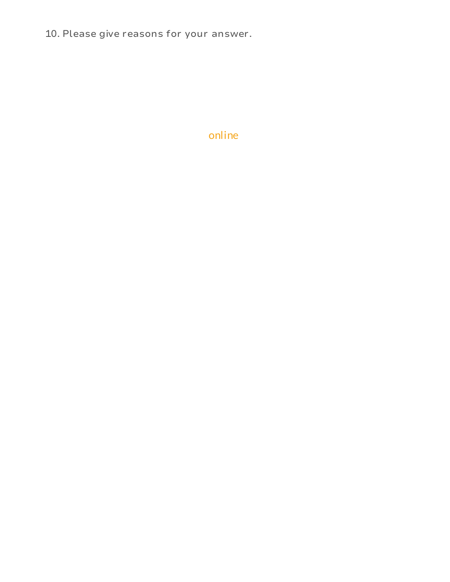10. Please give reasons for your answer.

# online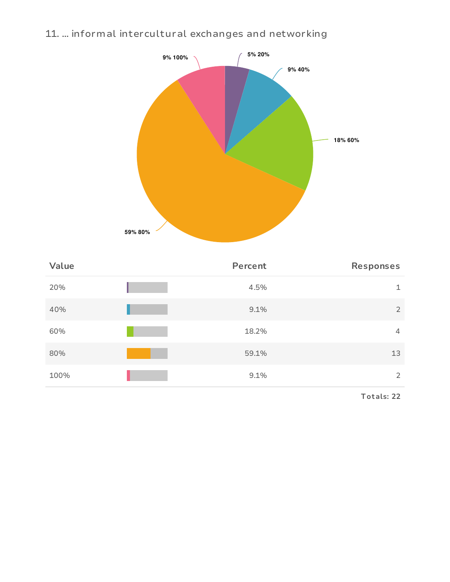# 11. ... informal intercultural exchanges and networking



| Value | Percent | Responses      |
|-------|---------|----------------|
| 20%   | 4.5%    | 1              |
| 40%   | 9.1%    | $\overline{2}$ |
| 60%   | 18.2%   | 4              |
| 80%   | 59.1%   | 13             |
| 100%  | 9.1%    | 2              |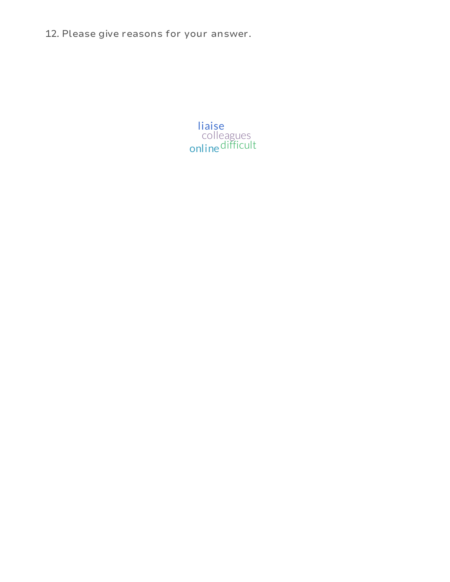12. Please give reasons for your answer.

colleagues difficult liaise online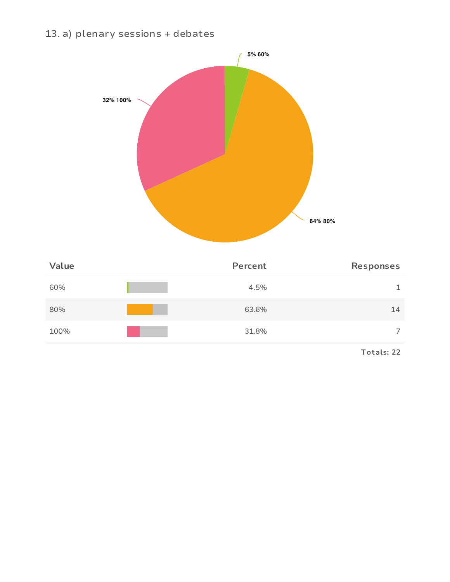### 13. a) plenary sessions + debates



| Value | Percent | Responses      |
|-------|---------|----------------|
| 60%   | 4.5%    | 1              |
| 80%   | 63.6%   | 14             |
| 100%  | 31.8%   | $\overline{ }$ |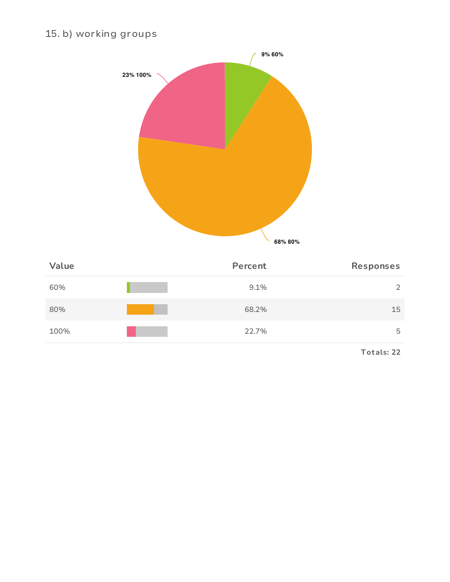# 15. b) working groups



| Value | Percent | Responses      |
|-------|---------|----------------|
| 60%   | 9.1%    | $\overline{2}$ |
| 80%   | 68.2%   | 15             |
| 100%  | 22.7%   | 5              |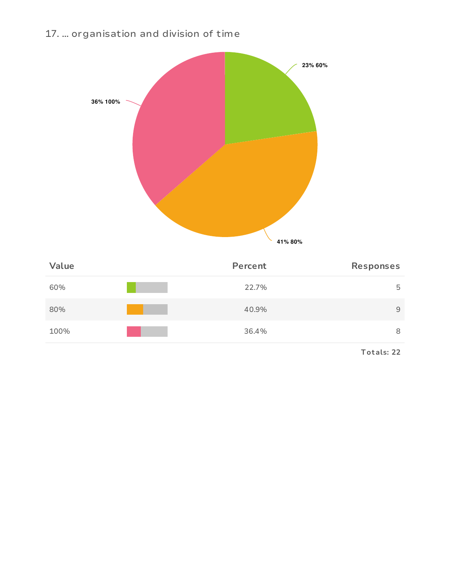# 17. ... organisation and division of time



| Value | Percent | Responses |
|-------|---------|-----------|
| 60%   | 22.7%   | 5         |
| 80%   | 40.9%   | 9         |
| 100%  | 36.4%   | 8         |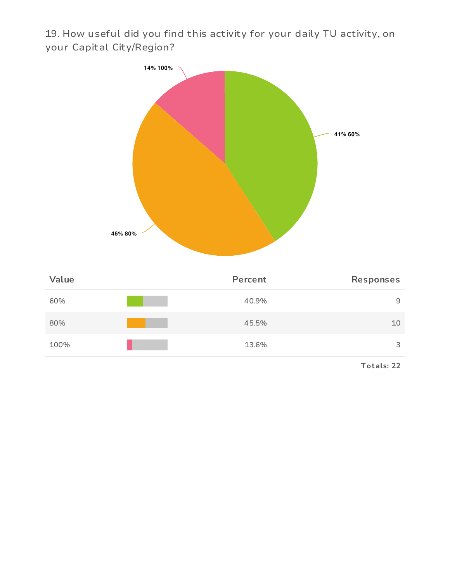19. How useful did you find this activity for your daily TU activity, on your Capital City/Region?

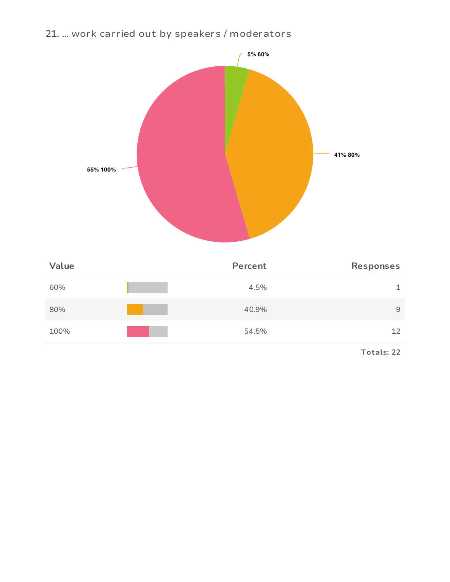# 21. ... work carried out by speakers / moderators



| Value | Percent | Responses    |
|-------|---------|--------------|
| 60%   | 4.5%    | $\mathbf{1}$ |
| 80%   | 40.9%   | 9            |
| 100%  | 54.5%   | 12           |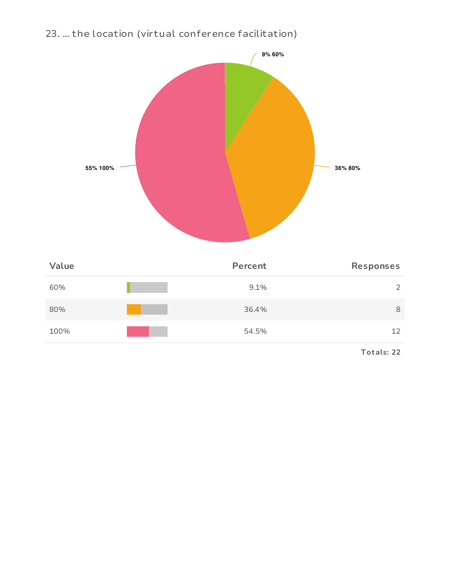23. ... the location (virtual conference facilitation)



| Value | Percent | Responses |
|-------|---------|-----------|
| 60%   | 9.1%    | 2         |
| 80%   | 36.4%   | 8         |
| 100%  | 54.5%   | 12        |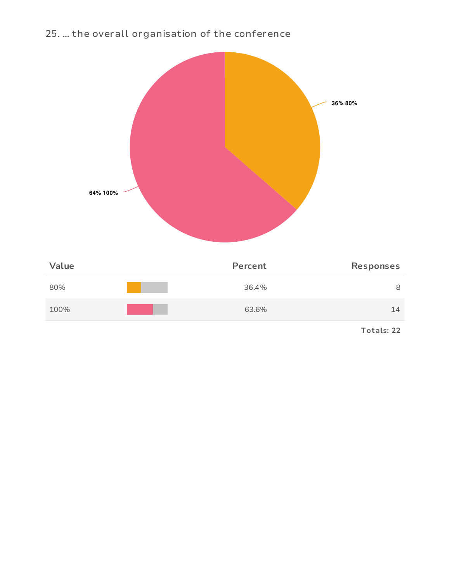### 25. ... the overall organisation of the conference

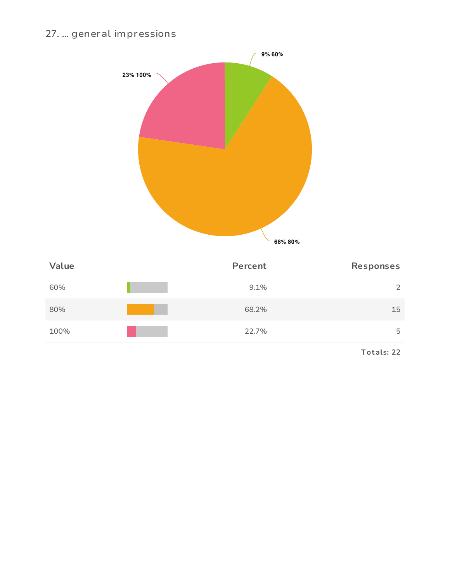# 27. ... general impressions



| Value | Percent | Responses |
|-------|---------|-----------|
| 60%   | 9.1%    | 2         |
| 80%   | 68.2%   | 15        |
| 100%  | 22.7%   | 5         |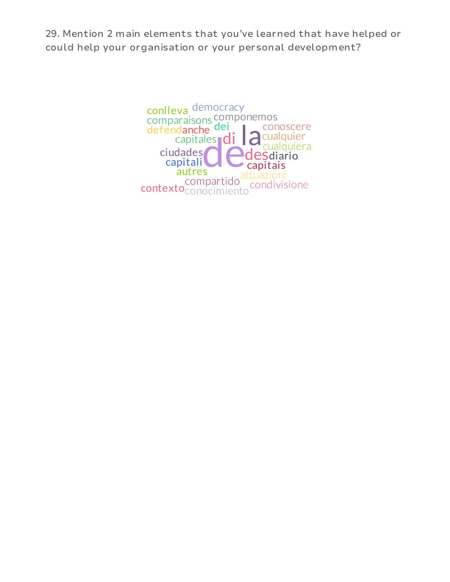29. Mention 2 main elements that you've learned that have helped or could help your organisation or your personal development?

> danche dei<br>
> capitales di la<br>
> dades<br>
> pitali<br>
> autres desdiario capitali<br>autres capitais ciudades comparaisons componemos compartido condivisione conlleva contexto<sub>conocimiento</sub> conoscere cualquier cualquiera defendanche dei democracy